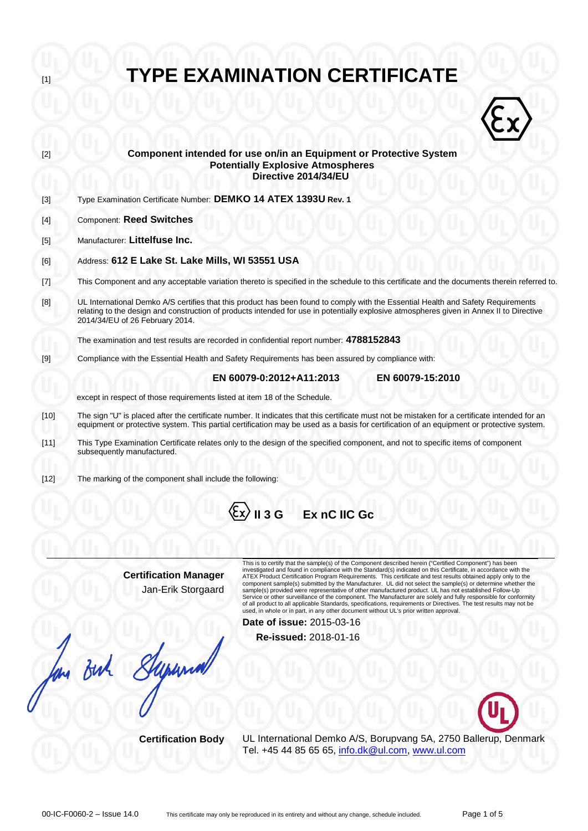| $[1]$  | <b>TYPE EXAMINATION CERTIFICATE</b>                                                                                                                                                                                                                                                                              |  |  |  |  |  |
|--------|------------------------------------------------------------------------------------------------------------------------------------------------------------------------------------------------------------------------------------------------------------------------------------------------------------------|--|--|--|--|--|
|        |                                                                                                                                                                                                                                                                                                                  |  |  |  |  |  |
| $[2]$  | Component intended for use on/in an Equipment or Protective System<br><b>Potentially Explosive Atmospheres</b><br>Directive 2014/34/EU                                                                                                                                                                           |  |  |  |  |  |
| $[3]$  | Type Examination Certificate Number: DEMKO 14 ATEX 1393U Rev. 1                                                                                                                                                                                                                                                  |  |  |  |  |  |
| [4]    | <b>Component: Reed Switches</b>                                                                                                                                                                                                                                                                                  |  |  |  |  |  |
| $[5]$  | Manufacturer: Littelfuse Inc.                                                                                                                                                                                                                                                                                    |  |  |  |  |  |
| [6]    | Address: 612 E Lake St. Lake Mills, WI 53551 USA                                                                                                                                                                                                                                                                 |  |  |  |  |  |
| $[7]$  | This Component and any acceptable variation thereto is specified in the schedule to this certificate and the documents therein referred to.                                                                                                                                                                      |  |  |  |  |  |
| [8]    | UL International Demko A/S certifies that this product has been found to comply with the Essential Health and Safety Requirements<br>relating to the design and construction of products intended for use in potentially explosive atmospheres given in Annex II to Directive<br>2014/34/EU of 26 February 2014. |  |  |  |  |  |
|        | The examination and test results are recorded in confidential report number: 4788152843                                                                                                                                                                                                                          |  |  |  |  |  |
| $[9]$  | Compliance with the Essential Health and Safety Requirements has been assured by compliance with:                                                                                                                                                                                                                |  |  |  |  |  |
|        | EN 60079-15:2010<br>EN 60079-0:2012+A11:2013<br>except in respect of those requirements listed at item 18 of the Schedule.                                                                                                                                                                                       |  |  |  |  |  |
| $[10]$ | The sign "U" is placed after the certificate number. It indicates that this certificate must not be mistaken for a certificate intended for an<br>equipment or protective system. This partial certification may be used as a basis for certification of an equipment or protective system.                      |  |  |  |  |  |
| [11]   | This Type Examination Certificate relates only to the design of the specified component, and not to specific items of component<br>subsequently manufactured.                                                                                                                                                    |  |  |  |  |  |
| $[12]$ | The marking of the component shall include the following:                                                                                                                                                                                                                                                        |  |  |  |  |  |
|        |                                                                                                                                                                                                                                                                                                                  |  |  |  |  |  |



**Certification Manager** Jan-Erik Storgaard

But Super

This is to certify that the sample(s) of the Component described herein ("Certified Component") has been<br>investigated and found in compliance with the Standard(s) indicated on this Certificate, in accordance with the<br>ATEX Service or other surveillance of the component. The Manufacturer are solely and fully responsible for conformity<br>of all product to all applicable Standards, specifications, requirements or Directives. The test results may

**Date of issue:** 2015-03-16

**Re-issued:** 2018-01-16



**Certification Body** UL International Demko A/S, Borupvang 5A, 2750 Ballerup, Denmark Tel. +45 44 85 65 65, [info.dk@ul.com,](mailto:info.dk@ul.com) [www.ul.com](http://www.ul.com/)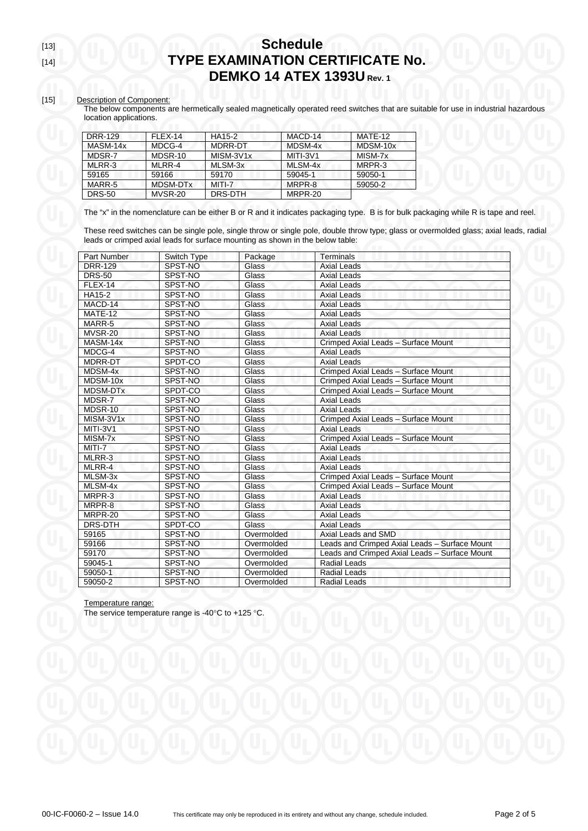#### [15] Description of Component:

The below components are hermetically sealed magnetically operated reed switches that are suitable for use in industrial hazardous location applications.

| DRR-129       | FLEX-14       | HA15-2    | MACD-14  | MATF-12  |
|---------------|---------------|-----------|----------|----------|
| MASM-14x      | MDCG-4        | MDRR-DT   | MDSM-4x  | MDSM-10x |
| MDSR-7        | MDSR-10       | MISM-3V1x | MITI-3V1 | MISM-7x  |
| MLRR-3        | <b>MLRR-4</b> | MLSM-3x   | MLSM-4x  | MRPR-3   |
| 59165         | 59166         | 59170     | 59045-1  | 59050-1  |
| MARR-5        | MDSM-DTx      | MITI-7    | MRPR-8   | 59050-2  |
| <b>DRS-50</b> | MVSR-20       | DRS-DTH   | MRPR-20  |          |

The "x" in the nomenclature can be either B or R and it indicates packaging type. B is for bulk packaging while R is tape and reel.

These reed switches can be single pole, single throw or single pole, double throw type; glass or overmolded glass; axial leads, radial leads or crimped axial leads for surface mounting as shown in the below table:

| <b>Part Number</b> | Switch Type | Package    | Terminals                                     |
|--------------------|-------------|------------|-----------------------------------------------|
| <b>DRR-129</b>     | SPST-NO     | Glass      | <b>Axial Leads</b>                            |
| <b>DRS-50</b>      | SPST-NO     | Glass      | <b>Axial Leads</b>                            |
| <b>FLEX-14</b>     | SPST-NO     | Glass      | <b>Axial Leads</b>                            |
| HA15-2             | SPST-NO     | Glass      | <b>Axial Leads</b>                            |
| MACD-14            | SPST-NO     | Glass      | <b>Axial Leads</b>                            |
| MATE-12            | SPST-NO     | Glass      | <b>Axial Leads</b>                            |
| MARR-5             | SPST-NO     | Glass      | <b>Axial Leads</b>                            |
| MVSR-20            | SPST-NO     | Glass      | Axial Leads                                   |
| MASM-14x           | SPST-NO     | Glass      | Crimped Axial Leads - Surface Mount           |
| MDCG-4             | SPST-NO     | Glass      | <b>Axial Leads</b>                            |
| <b>MDRR-DT</b>     | SPDT-CO     | Glass      | <b>Axial Leads</b>                            |
| MDSM-4x            | SPST-NO     | Glass      | Crimped Axial Leads - Surface Mount           |
| MDSM-10x           | SPST-NO     | Glass      | Crimped Axial Leads - Surface Mount           |
| <b>MDSM-DTx</b>    | SPDT-CO     | Glass      | Crimped Axial Leads - Surface Mount           |
| MDSR-7             | SPST-NO     | Glass      | <b>Axial Leads</b>                            |
| MDSR-10            | SPST-NO     | Glass      | <b>Axial Leads</b>                            |
| MISM-3V1x          | SPST-NO     | Glass      | Crimped Axial Leads - Surface Mount           |
| MITI-3V1           | SPST-NO     | Glass      | <b>Axial Leads</b>                            |
| MISM-7x            | SPST-NO     | Glass      | Crimped Axial Leads - Surface Mount           |
| MITI-7             | SPST-NO     | Glass      | <b>Axial Leads</b>                            |
| MLRR-3             | SPST-NO     | Glass      | <b>Axial Leads</b>                            |
| MLRR-4             | SPST-NO     | Glass      | <b>Axial Leads</b>                            |
| MLSM-3x            | SPST-NO     | Glass      | Crimped Axial Leads - Surface Mount           |
| MLSM-4x            | SPST-NO     | Glass      | Crimped Axial Leads - Surface Mount           |
| MRPR-3             | SPST-NO     | Glass      | <b>Axial Leads</b>                            |
| MRPR-8             | SPST-NO     | Glass      | <b>Axial Leads</b>                            |
| MRPR-20            | SPST-NO     | Glass      | <b>Axial Leads</b>                            |
| DRS-DTH            | SPDT-CO     | Glass      | <b>Axial Leads</b>                            |
| 59165              | SPST-NO     | Overmolded | Axial Leads and SMD                           |
| 59166              | SPST-NO     | Overmolded | Leads and Crimped Axial Leads - Surface Mount |
| 59170              | SPST-NO     | Overmolded | Leads and Crimped Axial Leads - Surface Mount |
| 59045-1            | SPST-NO     | Overmolded | <b>Radial Leads</b>                           |
| 59050-1            | SPST-NO     | Overmolded | <b>Radial Leads</b>                           |
| 59050-2            | SPST-NO     | Overmolded | <b>Radial Leads</b>                           |

#### Temperature range:

The service temperature range is -40°C to +125 °C.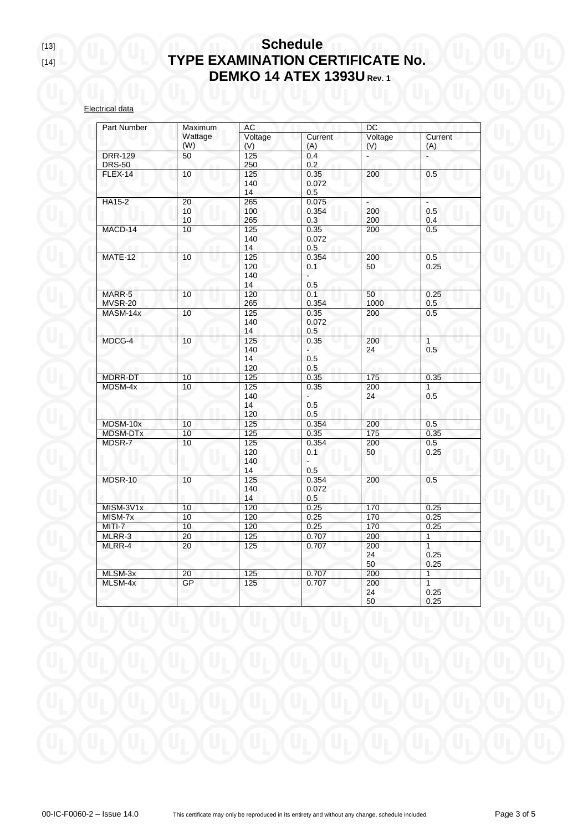## [13] **Schedule TYPE EXAMINATION CERTIFICATE No. DEMKO 14 ATEX 1393U Rev. 1**

Electrical data

| Part Number     | Maximum | AC<br>DC |         |         |              |
|-----------------|---------|----------|---------|---------|--------------|
|                 | Wattage | Voltage  | Current | Voltage | Current      |
|                 | (W)     | (V)      | (A)     | (V)     | (A)          |
| <b>DRR-129</b>  | 50      | 125      | 0.4     |         | ä,           |
| <b>DRS-50</b>   |         | 250      | 0.2     |         |              |
| FLEX-14         | 10      | 125      | 0.35    | 200     | 0.5          |
|                 |         | 140      | 0.072   |         |              |
|                 |         | 14       | 0.5     |         |              |
| HA15-2          | 20      | 265      | 0.075   | ä,      | ä,           |
|                 | 10      | 100      | 0.354   | 200     | 0.5          |
|                 | 10      | 265      | 0.3     | 200     | 0.4          |
| MACD-14         | 10      | 125      | 0.35    | 200     | 0.5          |
|                 |         | 140      | 0.072   |         |              |
|                 |         | 14       | 0.5     | m       |              |
| MATE-12         | 10      | 125      | 0.354   | 200     | 0.5          |
|                 |         | 120      | 0.1     | 50      | 0.25         |
|                 |         | 140      |         |         |              |
|                 |         | 14       | 0.5     |         |              |
| MARR-5          | 10      | 120      | 0.1     | 50      | 0.25         |
| MVSR-20         |         | 265      | 0.354   | 1000    | 0.5          |
| MASM-14x        | 10      | 125      | 0.35    | 200     | 0.5          |
|                 |         | 140      | 0.072   |         |              |
|                 |         | 14       | 0.5     |         |              |
| MDCG-4          | 10      | 125      | 0.35    | 200     | $\mathbf{1}$ |
|                 |         | 140      |         | 24      | 0.5          |
|                 |         | 14       | 0.5     |         |              |
|                 |         | 120      | 0.5     |         |              |
| MDRR-DT         | 10      | 125      | 0.35    | 175     | 0.35         |
| MDSM-4x         | 10      | 125      | 0.35    | 200     | $\mathbf{1}$ |
|                 |         | 140      |         | 24      | 0.5          |
|                 |         | 14       | 0.5     |         |              |
|                 |         | 120      | 0.5     |         |              |
| MDSM-10x        | 10      | 125      | 0.354   | 200     | 0.5          |
| <b>MDSM-DTx</b> | 10      | 125      | 0.35    | 175     | 0.35         |
| MDSR-7          | 10      | 125      | 0.354   | 200     | 0.5          |
|                 |         | 120      | 0.1     | 50      | 0.25         |
|                 |         | 140      |         |         |              |
|                 |         | 14       | 0.5     |         |              |
| MDSR-10         | 10      | 125      | 0.354   | 200     | 0.5          |
|                 |         | 140      | 0.072   |         |              |
|                 |         | 14       | 0.5     |         |              |
| MISM-3V1x       | 10      | 120      | 0.25    | 170     | 0.25         |
| MISM-7x         | 10      | 120      | 0.25    | 170     | 0.25         |
| MITI-7          | 10      | 120      | 0.25    | 170     | 0.25         |
| MLRR-3          | 20      | 125      | 0.707   | 200     | 1            |
| MLRR-4          | 20      | 125      | 0.707   | 200     | $\mathbf{1}$ |
|                 |         |          |         | 24      | 0.25         |
|                 |         |          |         | 50      | 0.25         |
| MLSM-3x         | 20      | 125      | 0.707   | 200     | 1            |
| MLSM-4x         | GP      | 125      | 0.707   | 200     | $\mathbf{1}$ |
|                 |         |          |         | 24      | 0.25         |
|                 |         |          |         | 50      | 0.25         |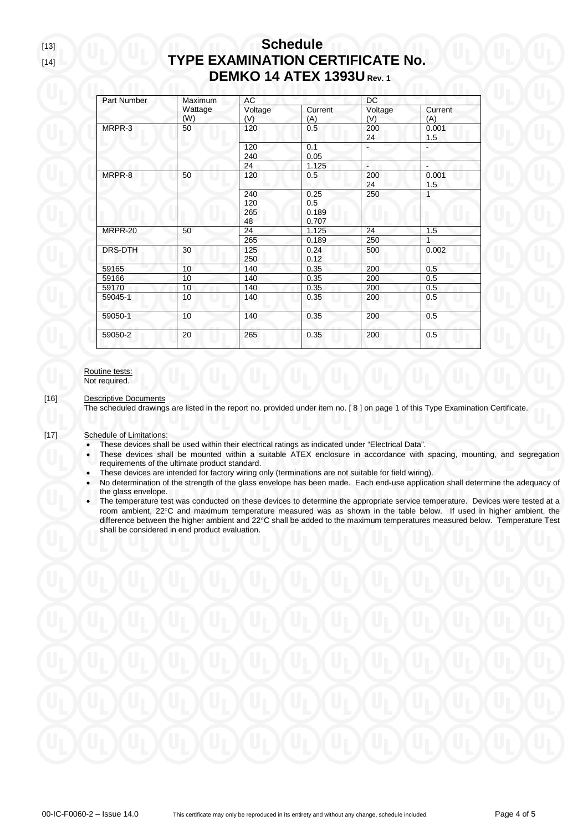### [13] **Schedule** [14] **TYPE EXAMINATION CERTIFICATE No. DEMKO 14 ATEX 1393U Rev. 1**

| Part Number | Maximum        | AC                      |                               | DC             |                |
|-------------|----------------|-------------------------|-------------------------------|----------------|----------------|
|             | Wattage<br>(W) | Voltage<br>(V)          | Current<br>(A)                | Voltage<br>(V) | Current<br>(A) |
| MRPR-3      | 50             | 120                     | 0.5                           | 200<br>24      | 0.001<br>1.5   |
|             |                | 120<br>240              | 0.1<br>0.05                   |                |                |
|             |                | 24                      | 1.125                         | $\sim 10$      |                |
| MRPR-8      | 50             | 120                     | 0.5                           | 200<br>24      | 0.001<br>1.5   |
|             |                | 240<br>120<br>265<br>48 | 0.25<br>0.5<br>0.189<br>0.707 | 250            | $\mathbf{1}$   |
| MRPR-20     | 50             | 24                      | 1.125                         | 24             | 1.5            |
|             |                | 265                     | 0.189                         | 250            | $\mathbf{1}$   |
| DRS-DTH     | 30             | 125<br>250              | 0.24<br>0.12                  | 500            | 0.002          |
| 59165       | 10             | 140                     | 0.35                          | 200            | 0.5            |
| 59166       | 10             | 140                     | 0.35                          | 200            | 0.5            |
| 59170       | 10             | 140                     | 0.35                          | 200            | 0.5            |
| 59045-1     | 10             | 140                     | 0.35                          | 200            | 0.5            |
| 59050-1     | 10             | 140                     | 0.35                          | 200            | 0.5            |
| 59050-2     | 20             | 265                     | 0.35                          | 200            | 0.5            |

### Routine tests: Not required.

[16] Descriptive Documents

The scheduled drawings are listed in the report no. provided under item no. [ 8 ] on page 1 of this Type Examination Certificate.

- [17] Schedule of Limitations:
	- These devices shall be used within their electrical ratings as indicated under "Electrical Data".
	- These devices shall be mounted within a suitable ATEX enclosure in accordance with spacing, mounting, and segregation requirements of the ultimate product standard.
	- These devices are intended for factory wiring only (terminations are not suitable for field wiring).
	- No determination of the strength of the glass envelope has been made. Each end-use application shall determine the adequacy of the glass envelope.
	- The temperature test was conducted on these devices to determine the appropriate service temperature. Devices were tested at a room ambient, 22°C and maximum temperature measured was as shown in the table below. If used in higher ambient, the difference between the higher ambient and 22°C shall be added to the maximum temperatures measured below. Temperature Test shall be considered in end product evaluation.